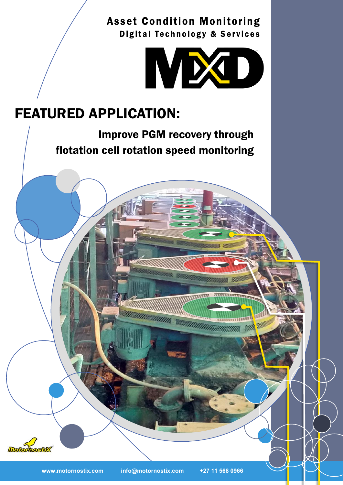**Asset Condition Monitoring** Digital Technology & Services



# FEATURED APPLICATION:

Improve PGM recovery through flotation cell rotation speed monitoring

**ATTOLOGICAL** 

8335550

**SERECTOR**